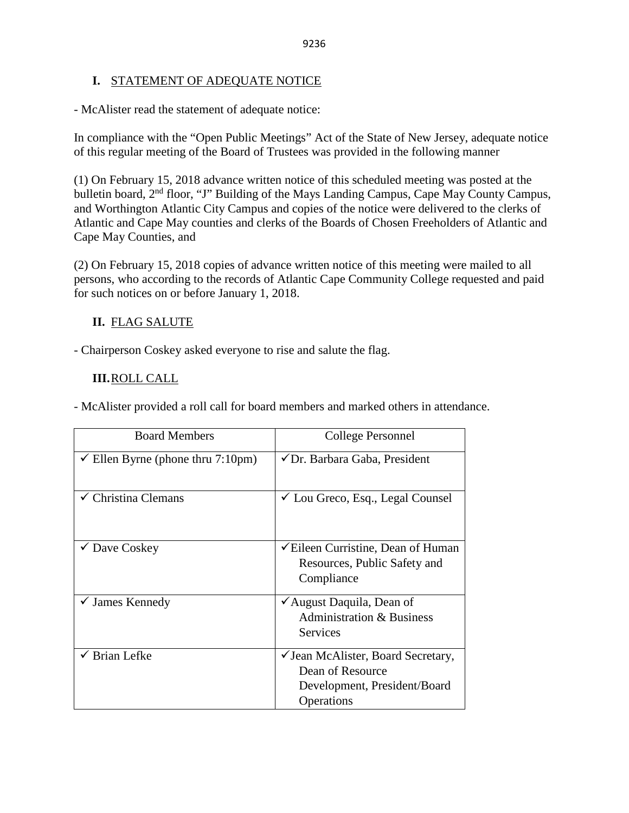# **I.** STATEMENT OF ADEQUATE NOTICE

- McAlister read the statement of adequate notice:

In compliance with the "Open Public Meetings" Act of the State of New Jersey, adequate notice of this regular meeting of the Board of Trustees was provided in the following manner

(1) On February 15, 2018 advance written notice of this scheduled meeting was posted at the bulletin board, 2<sup>nd</sup> floor, "J" Building of the Mays Landing Campus, Cape May County Campus, and Worthington Atlantic City Campus and copies of the notice were delivered to the clerks of Atlantic and Cape May counties and clerks of the Boards of Chosen Freeholders of Atlantic and Cape May Counties, and

(2) On February 15, 2018 copies of advance written notice of this meeting were mailed to all persons, who according to the records of Atlantic Cape Community College requested and paid for such notices on or before January 1, 2018.

# **II.** FLAG SALUTE

- Chairperson Coskey asked everyone to rise and salute the flag.

# **III.**ROLL CALL

- McAlister provided a roll call for board members and marked others in attendance.

| <b>Board Members</b>            | College Personnel                                                                                    |
|---------------------------------|------------------------------------------------------------------------------------------------------|
| Ellen Byrne (phone thru 7:10pm) | ✔ Dr. Barbara Gaba, President                                                                        |
| $\checkmark$ Christina Clemans  | $\checkmark$ Lou Greco, Esq., Legal Counsel                                                          |
| $\checkmark$ Dave Coskey        | $\checkmark$ Eileen Curristine, Dean of Human<br>Resources, Public Safety and<br>Compliance          |
| $\checkmark$ James Kennedy      | ✔ August Daquila, Dean of<br><b>Administration &amp; Business</b><br><b>Services</b>                 |
| $\checkmark$ Brian Lefke        | ✓ Jean McAlister, Board Secretary,<br>Dean of Resource<br>Development, President/Board<br>Operations |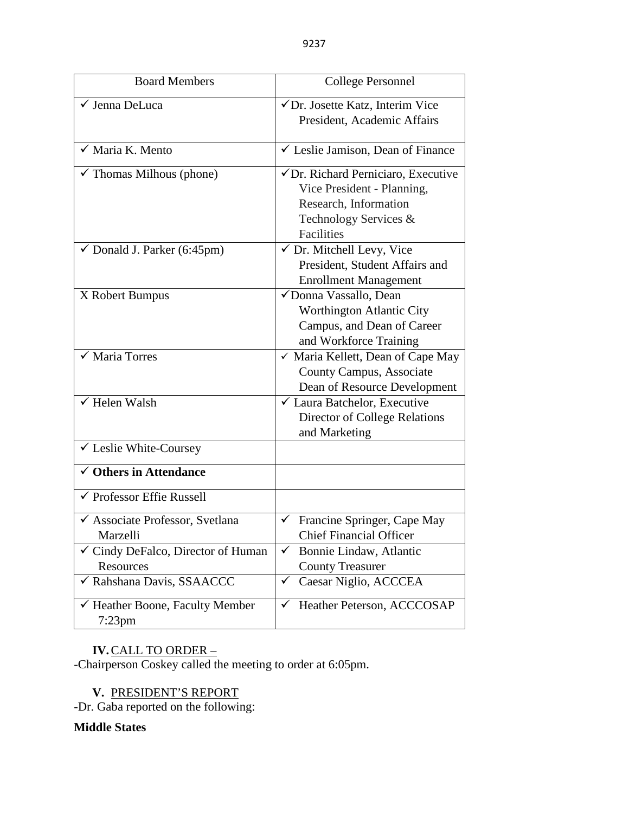| <b>Board Members</b>                       | <b>College Personnel</b>                       |  |  |
|--------------------------------------------|------------------------------------------------|--|--|
| √ Jenna DeLuca                             | √Dr. Josette Katz, Interim Vice                |  |  |
|                                            | President, Academic Affairs                    |  |  |
| $\checkmark$ Maria K. Mento                | ✓ Leslie Jamison, Dean of Finance              |  |  |
| $\checkmark$ Thomas Milhous (phone)        | $\checkmark$ Dr. Richard Perniciaro, Executive |  |  |
|                                            | Vice President - Planning,                     |  |  |
|                                            | Research, Information                          |  |  |
|                                            | Technology Services &                          |  |  |
|                                            | <b>Facilities</b>                              |  |  |
| $\checkmark$ Donald J. Parker (6:45pm)     | $\checkmark$ Dr. Mitchell Levy, Vice           |  |  |
|                                            | President, Student Affairs and                 |  |  |
|                                            | <b>Enrollment Management</b>                   |  |  |
| X Robert Bumpus                            | √Donna Vassallo, Dean                          |  |  |
|                                            | Worthington Atlantic City                      |  |  |
|                                            | Campus, and Dean of Career                     |  |  |
|                                            | and Workforce Training                         |  |  |
| $\checkmark$ Maria Torres                  | ✓ Maria Kellett, Dean of Cape May              |  |  |
|                                            | County Campus, Associate                       |  |  |
|                                            | Dean of Resource Development                   |  |  |
| $\checkmark$ Helen Walsh                   | $\checkmark$ Laura Batchelor, Executive        |  |  |
|                                            | <b>Director of College Relations</b>           |  |  |
|                                            | and Marketing                                  |  |  |
| ✓ Leslie White-Coursey                     |                                                |  |  |
| $\checkmark$ Others in Attendance          |                                                |  |  |
| ✔ Professor Effie Russell                  |                                                |  |  |
| ✔ Associate Professor, Svetlana            | Francine Springer, Cape May<br>✓               |  |  |
| Marzelli                                   | <b>Chief Financial Officer</b>                 |  |  |
| ✓ Cindy DeFalco, Director of Human         | Bonnie Lindaw, Atlantic<br>$\checkmark$        |  |  |
| Resources                                  | <b>County Treasurer</b>                        |  |  |
| √ Rahshana Davis, SSAACCC                  | Caesar Niglio, ACCCEA<br>$\checkmark$          |  |  |
| Heather Boone, Faculty Member<br>$7:23$ pm | Heather Peterson, ACCCOSAP<br>✓                |  |  |

# **IV.**CALL TO ORDER –

-Chairperson Coskey called the meeting to order at 6:05pm.

**V.** PRESIDENT'S REPORT

-Dr. Gaba reported on the following:

# **Middle States**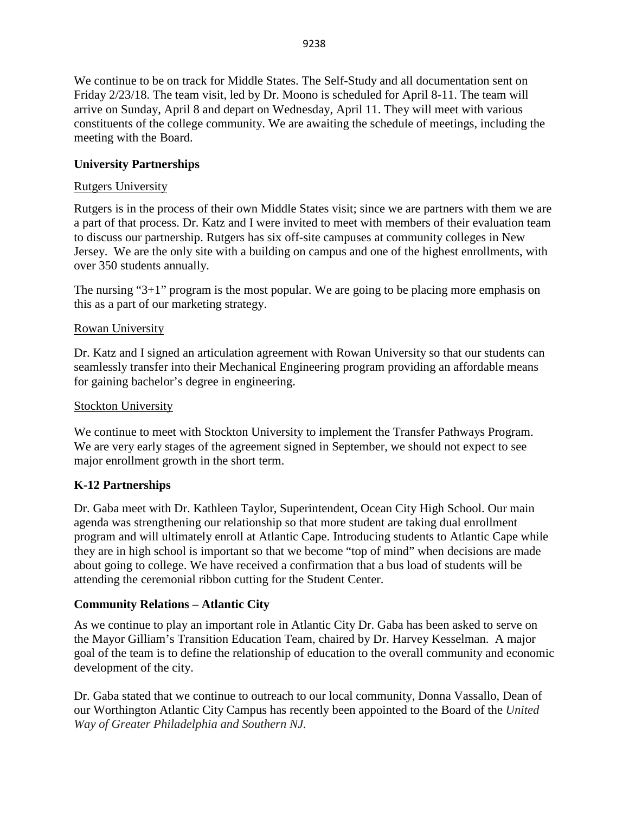We continue to be on track for Middle States. The Self-Study and all documentation sent on Friday 2/23/18. The team visit, led by Dr. Moono is scheduled for April 8-11. The team will arrive on Sunday, April 8 and depart on Wednesday, April 11. They will meet with various constituents of the college community. We are awaiting the schedule of meetings, including the meeting with the Board.

# **University Partnerships**

# Rutgers University

Rutgers is in the process of their own Middle States visit; since we are partners with them we are a part of that process. Dr. Katz and I were invited to meet with members of their evaluation team to discuss our partnership. Rutgers has six off-site campuses at community colleges in New Jersey. We are the only site with a building on campus and one of the highest enrollments, with over 350 students annually.

The nursing " $3+1$ " program is the most popular. We are going to be placing more emphasis on this as a part of our marketing strategy.

# Rowan University

Dr. Katz and I signed an articulation agreement with Rowan University so that our students can seamlessly transfer into their Mechanical Engineering program providing an affordable means for gaining bachelor's degree in engineering.

# Stockton University

We continue to meet with Stockton University to implement the Transfer Pathways Program. We are very early stages of the agreement signed in September, we should not expect to see major enrollment growth in the short term.

# **K-12 Partnerships**

Dr. Gaba meet with Dr. Kathleen Taylor, Superintendent, Ocean City High School. Our main agenda was strengthening our relationship so that more student are taking dual enrollment program and will ultimately enroll at Atlantic Cape. Introducing students to Atlantic Cape while they are in high school is important so that we become "top of mind" when decisions are made about going to college. We have received a confirmation that a bus load of students will be attending the ceremonial ribbon cutting for the Student Center.

# **Community Relations – Atlantic City**

As we continue to play an important role in Atlantic City Dr. Gaba has been asked to serve on the Mayor Gilliam's Transition Education Team, chaired by Dr. Harvey Kesselman. A major goal of the team is to define the relationship of education to the overall community and economic development of the city.

Dr. Gaba stated that we continue to outreach to our local community, Donna Vassallo, Dean of our Worthington Atlantic City Campus has recently been appointed to the Board of the *United Way of Greater Philadelphia and Southern NJ.*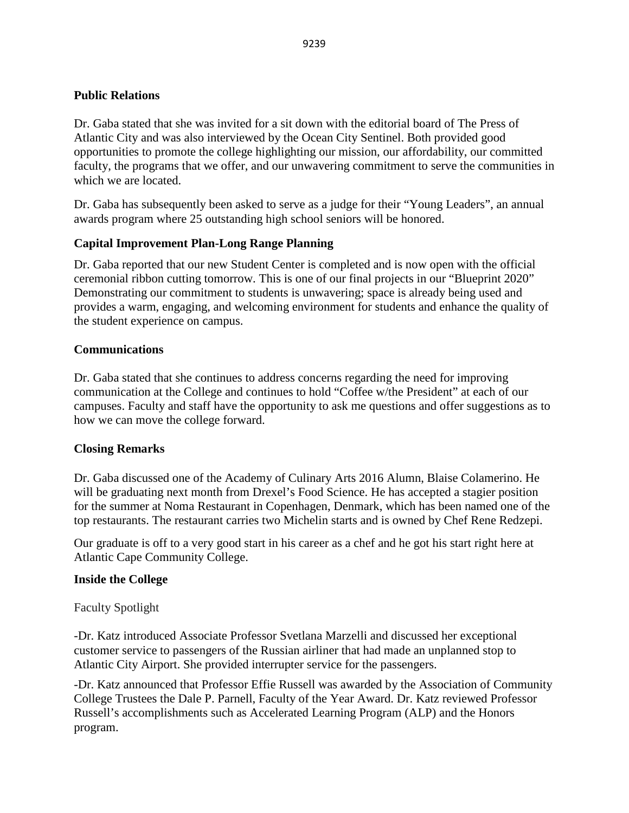# **Public Relations**

Dr. Gaba stated that she was invited for a sit down with the editorial board of The Press of Atlantic City and was also interviewed by the Ocean City Sentinel. Both provided good opportunities to promote the college highlighting our mission, our affordability, our committed faculty, the programs that we offer, and our unwavering commitment to serve the communities in which we are located.

Dr. Gaba has subsequently been asked to serve as a judge for their "Young Leaders", an annual awards program where 25 outstanding high school seniors will be honored.

# **Capital Improvement Plan-Long Range Planning**

Dr. Gaba reported that our new Student Center is completed and is now open with the official ceremonial ribbon cutting tomorrow. This is one of our final projects in our "Blueprint 2020" Demonstrating our commitment to students is unwavering; space is already being used and provides a warm, engaging, and welcoming environment for students and enhance the quality of the student experience on campus.

# **Communications**

Dr. Gaba stated that she continues to address concerns regarding the need for improving communication at the College and continues to hold "Coffee w/the President" at each of our campuses. Faculty and staff have the opportunity to ask me questions and offer suggestions as to how we can move the college forward.

# **Closing Remarks**

Dr. Gaba discussed one of the Academy of Culinary Arts 2016 Alumn, Blaise Colamerino. He will be graduating next month from Drexel's Food Science. He has accepted a stagier position for the summer at Noma Restaurant in Copenhagen, Denmark, which has been named one of the top restaurants. The restaurant carries two Michelin starts and is owned by Chef Rene Redzepi.

Our graduate is off to a very good start in his career as a chef and he got his start right here at Atlantic Cape Community College.

# **Inside the College**

Faculty Spotlight

-Dr. Katz introduced Associate Professor Svetlana Marzelli and discussed her exceptional customer service to passengers of the Russian airliner that had made an unplanned stop to Atlantic City Airport. She provided interrupter service for the passengers.

-Dr. Katz announced that Professor Effie Russell was awarded by the Association of Community College Trustees the Dale P. Parnell, Faculty of the Year Award. Dr. Katz reviewed Professor Russell's accomplishments such as Accelerated Learning Program (ALP) and the Honors program.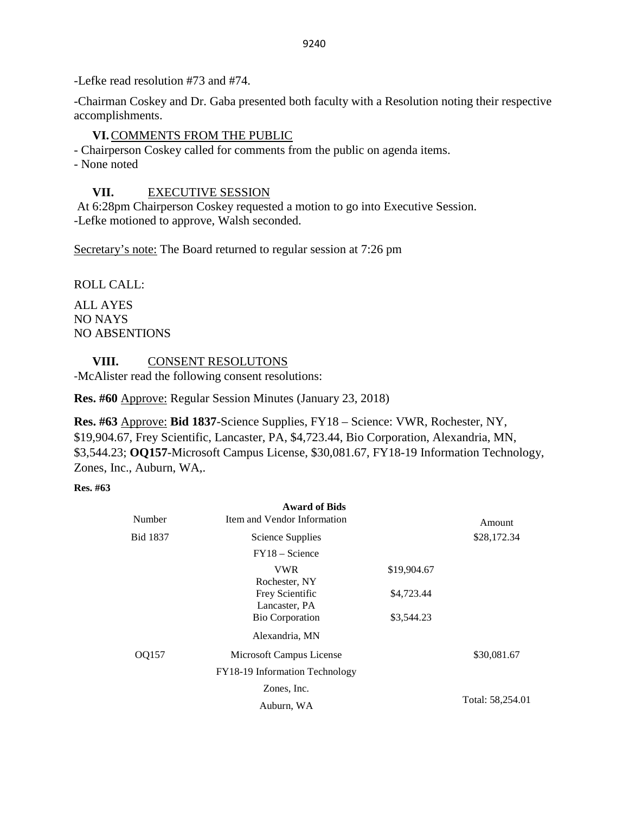-Lefke read resolution #73 and #74.

-Chairman Coskey and Dr. Gaba presented both faculty with a Resolution noting their respective accomplishments.

# **VI.**COMMENTS FROM THE PUBLIC

- Chairperson Coskey called for comments from the public on agenda items.

- None noted

# **VII.** EXECUTIVE SESSION

At 6:28pm Chairperson Coskey requested a motion to go into Executive Session. -Lefke motioned to approve, Walsh seconded.

Secretary's note: The Board returned to regular session at 7:26 pm

ROLL CALL:

ALL AYES NO NAYS NO ABSENTIONS

**VIII.** CONSENT RESOLUTONS

-McAlister read the following consent resolutions:

**Res. #60** Approve: Regular Session Minutes (January 23, 2018)

**Res. #63** Approve: **Bid 1837**-Science Supplies, FY18 – Science: VWR, Rochester, NY, \$19,904.67, Frey Scientific, Lancaster, PA, \$4,723.44, Bio Corporation, Alexandria, MN, \$3,544.23; **OQ157**-Microsoft Campus License, \$30,081.67, FY18-19 Information Technology, Zones, Inc., Auburn, WA,.

**Res. #63** 

| Number          | <b>Award of Bids</b><br>Item and Vendor Information |             | Amount           |
|-----------------|-----------------------------------------------------|-------------|------------------|
| <b>Bid 1837</b> | Science Supplies                                    |             | \$28,172.34      |
|                 | $FY18 - Science$                                    |             |                  |
|                 | <b>VWR</b><br>Rochester, NY                         | \$19,904.67 |                  |
|                 | Frey Scientific<br>Lancaster, PA                    | \$4,723.44  |                  |
|                 | <b>Bio Corporation</b>                              | \$3,544.23  |                  |
|                 | Alexandria, MN                                      |             |                  |
| OQ157           | Microsoft Campus License                            |             | \$30,081.67      |
|                 | FY18-19 Information Technology                      |             |                  |
|                 | Zones, Inc.                                         |             |                  |
|                 | Auburn, WA                                          |             | Total: 58,254.01 |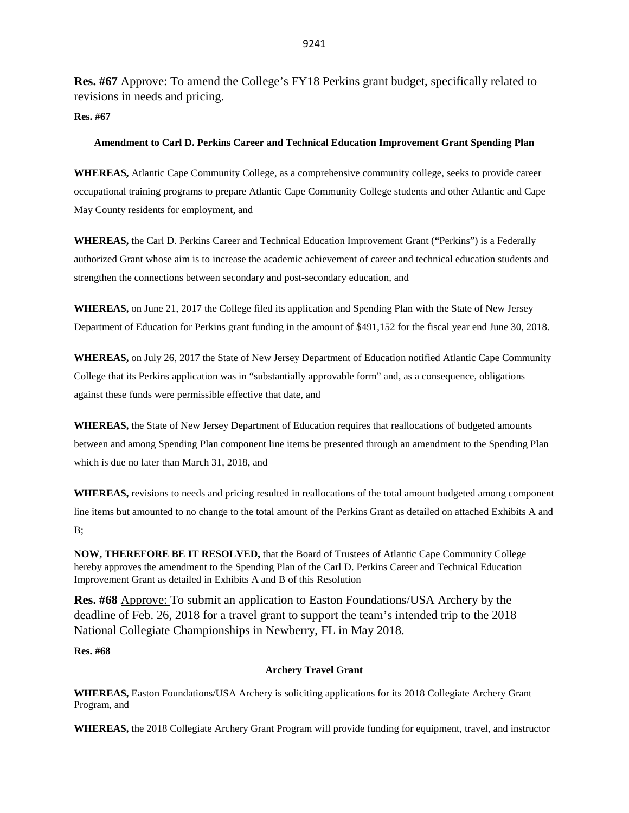**Res. #67** Approve: To amend the College's FY18 Perkins grant budget, specifically related to revisions in needs and pricing.

#### **Res. #67**

#### **Amendment to Carl D. Perkins Career and Technical Education Improvement Grant Spending Plan**

**WHEREAS,** Atlantic Cape Community College, as a comprehensive community college, seeks to provide career occupational training programs to prepare Atlantic Cape Community College students and other Atlantic and Cape May County residents for employment, and

**WHEREAS,** the Carl D. Perkins Career and Technical Education Improvement Grant ("Perkins") is a Federally authorized Grant whose aim is to increase the academic achievement of career and technical education students and strengthen the connections between secondary and post-secondary education, and

**WHEREAS,** on June 21, 2017 the College filed its application and Spending Plan with the State of New Jersey Department of Education for Perkins grant funding in the amount of \$491,152 for the fiscal year end June 30, 2018.

**WHEREAS,** on July 26, 2017 the State of New Jersey Department of Education notified Atlantic Cape Community College that its Perkins application was in "substantially approvable form" and, as a consequence, obligations against these funds were permissible effective that date, and

**WHEREAS,** the State of New Jersey Department of Education requires that reallocations of budgeted amounts between and among Spending Plan component line items be presented through an amendment to the Spending Plan which is due no later than March 31, 2018, and

**WHEREAS,** revisions to needs and pricing resulted in reallocations of the total amount budgeted among component line items but amounted to no change to the total amount of the Perkins Grant as detailed on attached Exhibits A and B;

**NOW, THEREFORE BE IT RESOLVED,** that the Board of Trustees of Atlantic Cape Community College hereby approves the amendment to the Spending Plan of the Carl D. Perkins Career and Technical Education Improvement Grant as detailed in Exhibits A and B of this Resolution

**Res. #68** Approve: To submit an application to Easton Foundations/USA Archery by the deadline of Feb. 26, 2018 for a travel grant to support the team's intended trip to the 2018 National Collegiate Championships in Newberry, FL in May 2018.

## **Res. #68**

## **Archery Travel Grant**

**WHEREAS,** Easton Foundations/USA Archery is soliciting applications for its 2018 Collegiate Archery Grant Program, and

**WHEREAS,** the 2018 Collegiate Archery Grant Program will provide funding for equipment, travel, and instructor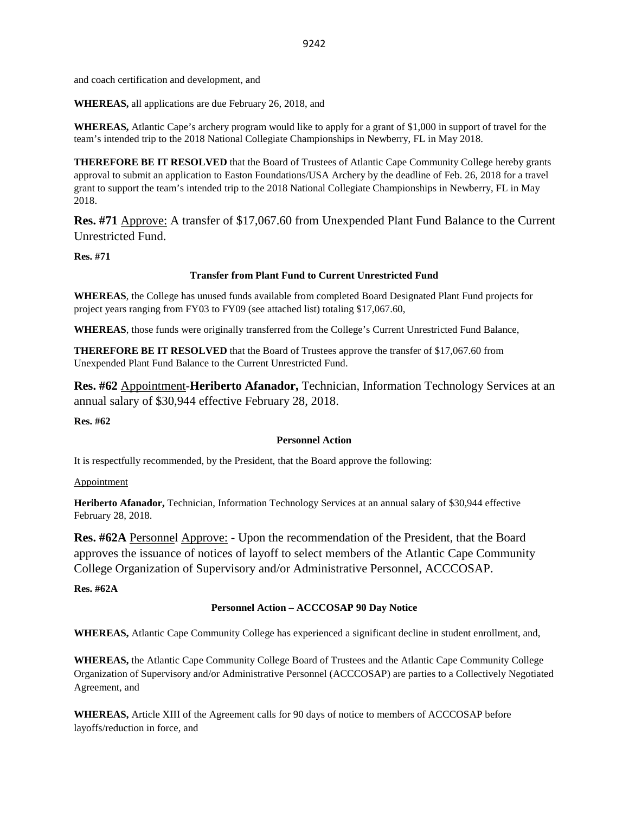and coach certification and development, and

**WHEREAS,** all applications are due February 26, 2018, and

**WHEREAS,** Atlantic Cape's archery program would like to apply for a grant of \$1,000 in support of travel for the team's intended trip to the 2018 National Collegiate Championships in Newberry, FL in May 2018.

**THEREFORE BE IT RESOLVED** that the Board of Trustees of Atlantic Cape Community College hereby grants approval to submit an application to Easton Foundations/USA Archery by the deadline of Feb. 26, 2018 for a travel grant to support the team's intended trip to the 2018 National Collegiate Championships in Newberry, FL in May 2018.

**Res. #71** Approve: A transfer of \$17,067.60 from Unexpended Plant Fund Balance to the Current Unrestricted Fund.

**Res. #71**

## **Transfer from Plant Fund to Current Unrestricted Fund**

**WHEREAS**, the College has unused funds available from completed Board Designated Plant Fund projects for project years ranging from FY03 to FY09 (see attached list) totaling \$17,067.60,

**WHEREAS**, those funds were originally transferred from the College's Current Unrestricted Fund Balance,

**THEREFORE BE IT RESOLVED** that the Board of Trustees approve the transfer of \$17,067.60 from Unexpended Plant Fund Balance to the Current Unrestricted Fund.

**Res. #62** Appointment-**Heriberto Afanador,** Technician, Information Technology Services at an annual salary of \$30,944 effective February 28, 2018.

**Res. #62**

## **Personnel Action**

It is respectfully recommended, by the President, that the Board approve the following:

## Appointment

**Heriberto Afanador,** Technician, Information Technology Services at an annual salary of \$30,944 effective February 28, 2018.

**Res. #62A** Personnel Approve: - Upon the recommendation of the President, that the Board approves the issuance of notices of layoff to select members of the Atlantic Cape Community College Organization of Supervisory and/or Administrative Personnel, ACCCOSAP.

**Res. #62A**

## **Personnel Action – ACCCOSAP 90 Day Notice**

**WHEREAS,** Atlantic Cape Community College has experienced a significant decline in student enrollment, and,

**WHEREAS,** the Atlantic Cape Community College Board of Trustees and the Atlantic Cape Community College Organization of Supervisory and/or Administrative Personnel (ACCCOSAP) are parties to a Collectively Negotiated Agreement, and

**WHEREAS,** Article XIII of the Agreement calls for 90 days of notice to members of ACCCOSAP before layoffs/reduction in force, and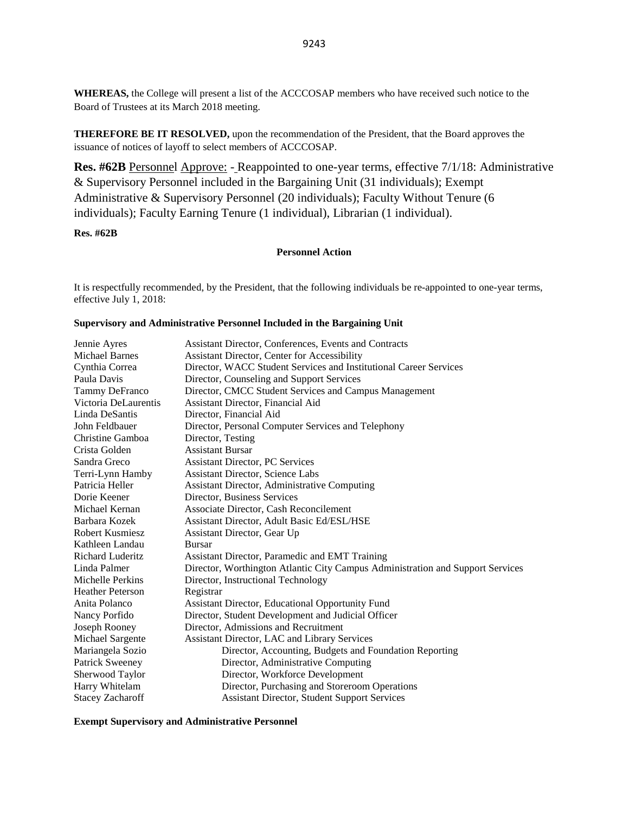**WHEREAS,** the College will present a list of the ACCCOSAP members who have received such notice to the Board of Trustees at its March 2018 meeting.

**THEREFORE BE IT RESOLVED,** upon the recommendation of the President, that the Board approves the issuance of notices of layoff to select members of ACCCOSAP.

**Res. #62B** Personnel Approve: - Reappointed to one-year terms, effective 7/1/18: Administrative & Supervisory Personnel included in the Bargaining Unit (31 individuals); Exempt Administrative & Supervisory Personnel (20 individuals); Faculty Without Tenure (6 individuals); Faculty Earning Tenure (1 individual), Librarian (1 individual).

### **Res. #62B**

#### **Personnel Action**

It is respectfully recommended, by the President, that the following individuals be re-appointed to one-year terms, effective July 1, 2018:

#### **Supervisory and Administrative Personnel Included in the Bargaining Unit**

| Jennie Ayres            | Assistant Director, Conferences, Events and Contracts                          |
|-------------------------|--------------------------------------------------------------------------------|
| <b>Michael Barnes</b>   | Assistant Director, Center for Accessibility                                   |
| Cynthia Correa          | Director, WACC Student Services and Institutional Career Services              |
| Paula Davis             | Director, Counseling and Support Services                                      |
| Tammy DeFranco          | Director, CMCC Student Services and Campus Management                          |
| Victoria DeLaurentis    | Assistant Director, Financial Aid                                              |
| Linda DeSantis          | Director, Financial Aid                                                        |
| John Feldbauer          | Director, Personal Computer Services and Telephony                             |
| Christine Gamboa        | Director, Testing                                                              |
| Crista Golden           | <b>Assistant Bursar</b>                                                        |
| Sandra Greco            | <b>Assistant Director, PC Services</b>                                         |
| Terri-Lynn Hamby        | <b>Assistant Director, Science Labs</b>                                        |
| Patricia Heller         | Assistant Director, Administrative Computing                                   |
| Dorie Keener            | Director, Business Services                                                    |
| Michael Kernan          | Associate Director, Cash Reconcilement                                         |
| Barbara Kozek           | Assistant Director, Adult Basic Ed/ESL/HSE                                     |
| <b>Robert Kusmiesz</b>  | Assistant Director, Gear Up                                                    |
| Kathleen Landau         | <b>Bursar</b>                                                                  |
| <b>Richard Luderitz</b> | Assistant Director, Paramedic and EMT Training                                 |
| Linda Palmer            | Director, Worthington Atlantic City Campus Administration and Support Services |
| Michelle Perkins        | Director, Instructional Technology                                             |
| <b>Heather Peterson</b> | Registrar                                                                      |
| Anita Polanco           | Assistant Director, Educational Opportunity Fund                               |
| Nancy Porfido           | Director, Student Development and Judicial Officer                             |
| Joseph Rooney           | Director, Admissions and Recruitment                                           |
| Michael Sargente        | Assistant Director, LAC and Library Services                                   |
| Mariangela Sozio        | Director, Accounting, Budgets and Foundation Reporting                         |
| Patrick Sweeney         | Director, Administrative Computing                                             |
| Sherwood Taylor         | Director, Workforce Development                                                |
| Harry Whitelam          | Director, Purchasing and Storeroom Operations                                  |
| <b>Stacey Zacharoff</b> | <b>Assistant Director, Student Support Services</b>                            |

**Exempt Supervisory and Administrative Personnel**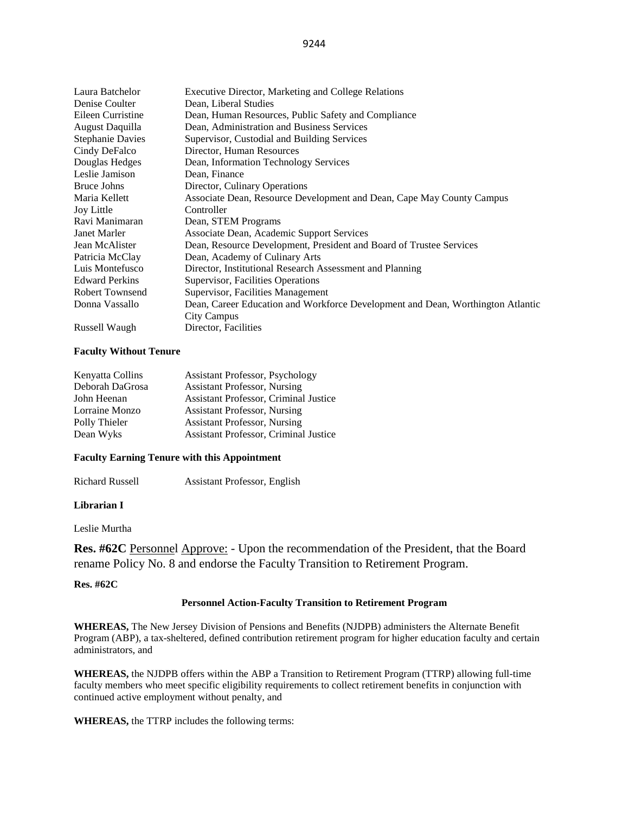| Laura Batchelor         | Executive Director, Marketing and College Relations                             |
|-------------------------|---------------------------------------------------------------------------------|
| Denise Coulter          | Dean, Liberal Studies                                                           |
| Eileen Curristine       | Dean, Human Resources, Public Safety and Compliance                             |
| August Daquilla         | Dean, Administration and Business Services                                      |
| <b>Stephanie Davies</b> | Supervisor, Custodial and Building Services                                     |
| Cindy DeFalco           | Director, Human Resources                                                       |
| Douglas Hedges          | Dean, Information Technology Services                                           |
| Leslie Jamison          | Dean, Finance                                                                   |
| <b>Bruce Johns</b>      | Director, Culinary Operations                                                   |
| Maria Kellett           | Associate Dean, Resource Development and Dean, Cape May County Campus           |
| <b>Joy Little</b>       | Controller                                                                      |
| Ravi Manimaran          | Dean, STEM Programs                                                             |
| Janet Marler            | Associate Dean, Academic Support Services                                       |
| Jean McAlister          | Dean, Resource Development, President and Board of Trustee Services             |
| Patricia McClay         | Dean, Academy of Culinary Arts                                                  |
| Luis Montefusco         | Director, Institutional Research Assessment and Planning                        |
| <b>Edward Perkins</b>   | Supervisor, Facilities Operations                                               |
| <b>Robert Townsend</b>  | Supervisor, Facilities Management                                               |
| Donna Vassallo          | Dean, Career Education and Workforce Development and Dean, Worthington Atlantic |
|                         | City Campus                                                                     |
| Russell Waugh           | Director, Facilities                                                            |

#### **Faculty Without Tenure**

| <b>Assistant Professor, Psychology</b>       |
|----------------------------------------------|
| <b>Assistant Professor, Nursing</b>          |
| <b>Assistant Professor, Criminal Justice</b> |
| <b>Assistant Professor, Nursing</b>          |
| <b>Assistant Professor, Nursing</b>          |
| Assistant Professor, Criminal Justice        |
|                                              |

#### **Faculty Earning Tenure with this Appointment**

Richard Russell Assistant Professor, English

### **Librarian I**

Leslie Murtha

**Res. #62C** Personnel Approve: - Upon the recommendation of the President, that the Board rename Policy No. 8 and endorse the Faculty Transition to Retirement Program.

#### **Res. #62C**

#### **Personnel Action-Faculty Transition to Retirement Program**

**WHEREAS,** The New Jersey Division of Pensions and Benefits (NJDPB) administers the Alternate Benefit Program (ABP), a tax-sheltered, defined contribution retirement program for higher education faculty and certain administrators, and

**WHEREAS,** the NJDPB offers within the ABP a Transition to Retirement Program (TTRP) allowing full-time faculty members who meet specific eligibility requirements to collect retirement benefits in conjunction with continued active employment without penalty, and

**WHEREAS,** the TTRP includes the following terms: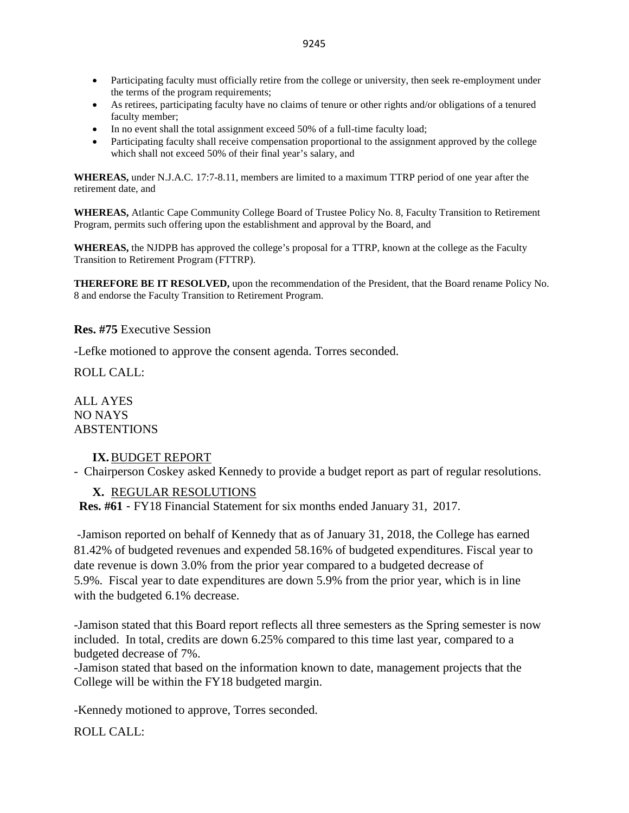- Participating faculty must officially retire from the college or university, then seek re-employment under the terms of the program requirements;
- As retirees, participating faculty have no claims of tenure or other rights and/or obligations of a tenured faculty member;
- In no event shall the total assignment exceed 50% of a full-time faculty load;
- Participating faculty shall receive compensation proportional to the assignment approved by the college which shall not exceed 50% of their final year's salary, and

**WHEREAS,** under N.J.A.C. 17:7-8.11, members are limited to a maximum TTRP period of one year after the retirement date, and

**WHEREAS,** Atlantic Cape Community College Board of Trustee Policy No. 8, Faculty Transition to Retirement Program, permits such offering upon the establishment and approval by the Board, and

**WHEREAS,** the NJDPB has approved the college's proposal for a TTRP, known at the college as the Faculty Transition to Retirement Program (FTTRP).

**THEREFORE BE IT RESOLVED,** upon the recommendation of the President, that the Board rename Policy No. 8 and endorse the Faculty Transition to Retirement Program.

**Res. #75** Executive Session

-Lefke motioned to approve the consent agenda. Torres seconded.

ROLL CALL:

ALL AYES NO NAYS **ABSTENTIONS** 

## **IX.**BUDGET REPORT

- Chairperson Coskey asked Kennedy to provide a budget report as part of regular resolutions.

## **X.** REGULAR RESOLUTIONS

**Res. #61** - FY18 Financial Statement for six months ended January 31, 2017.

-Jamison reported on behalf of Kennedy that as of January 31, 2018, the College has earned 81.42% of budgeted revenues and expended 58.16% of budgeted expenditures. Fiscal year to date revenue is down 3.0% from the prior year compared to a budgeted decrease of 5.9%. Fiscal year to date expenditures are down 5.9% from the prior year, which is in line with the budgeted 6.1% decrease.

-Jamison stated that this Board report reflects all three semesters as the Spring semester is now included. In total, credits are down 6.25% compared to this time last year, compared to a budgeted decrease of 7%.

-Jamison stated that based on the information known to date, management projects that the College will be within the FY18 budgeted margin.

-Kennedy motioned to approve, Torres seconded.

ROLL CALL: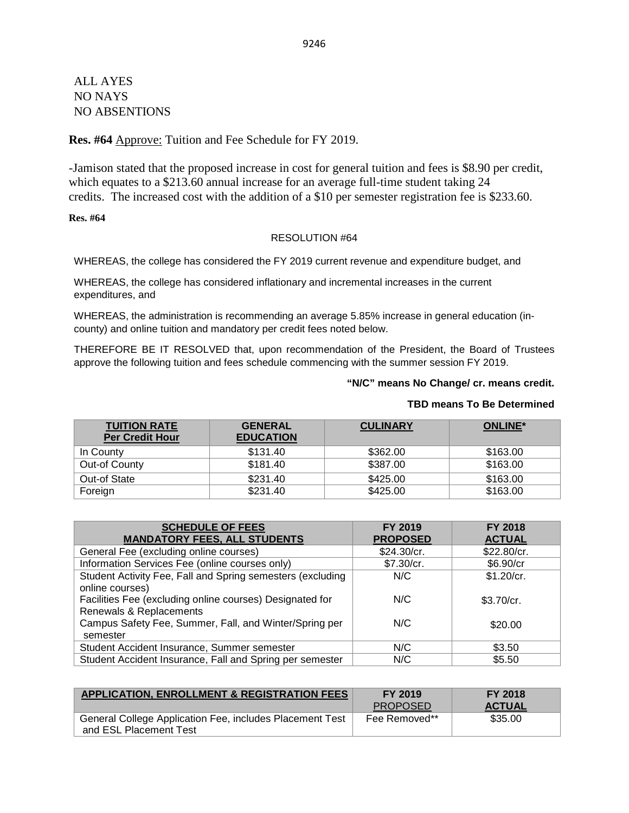ALL AYES NO NAYS NO ABSENTIONS

## **Res. #64** Approve: Tuition and Fee Schedule for FY 2019.

-Jamison stated that the proposed increase in cost for general tuition and fees is \$8.90 per credit, which equates to a \$213.60 annual increase for an average full-time student taking 24 credits. The increased cost with the addition of a \$10 per semester registration fee is \$233.60.

## **Res. #64**

## RESOLUTION #64

WHEREAS, the college has considered the FY 2019 current revenue and expenditure budget, and

WHEREAS, the college has considered inflationary and incremental increases in the current expenditures, and

WHEREAS, the administration is recommending an average 5.85% increase in general education (incounty) and online tuition and mandatory per credit fees noted below.

THEREFORE BE IT RESOLVED that, upon recommendation of the President, the Board of Trustees approve the following tuition and fees schedule commencing with the summer session FY 2019.

## **"N/C" means No Change/ cr. means credit.**

| <b>TUITION RATE</b><br><b>Per Credit Hour</b> | <b>GENERAL</b><br><b>EDUCATION</b> | <b>CULINARY</b> | <b>ONLINE*</b> |
|-----------------------------------------------|------------------------------------|-----------------|----------------|
| In County                                     | \$131.40                           | \$362.00        | \$163.00       |
| Out-of County                                 | \$181.40                           | \$387.00        | \$163.00       |
| Out-of State                                  | \$231.40                           | \$425.00        | \$163.00       |
| Foreign                                       | \$231.40                           | \$425.00        | \$163.00       |

| <b>SCHEDULE OF FEES</b>                                                             | FY 2019         | <b>FY 2018</b> |
|-------------------------------------------------------------------------------------|-----------------|----------------|
| <b>MANDATORY FEES, ALL STUDENTS</b>                                                 | <b>PROPOSED</b> | <b>ACTUAL</b>  |
| General Fee (excluding online courses)                                              | \$24.30/cr.     | \$22.80/cr.    |
| Information Services Fee (online courses only)                                      | \$7.30/cr.      | \$6.90/cr      |
| Student Activity Fee, Fall and Spring semesters (excluding<br>online courses)       | N/C             | \$1.20/cr.     |
| Facilities Fee (excluding online courses) Designated for<br>Renewals & Replacements | N/C             | \$3.70/cr.     |
| Campus Safety Fee, Summer, Fall, and Winter/Spring per<br>semester                  | N/C             | \$20.00        |
| Student Accident Insurance, Summer semester                                         | N/C             | \$3.50         |
| Student Accident Insurance, Fall and Spring per semester                            | N/C             | \$5.50         |

| <b>APPLICATION, ENROLLMENT &amp; REGISTRATION FEES</b>                             | FY 2019         | <b>FY 2018</b> |
|------------------------------------------------------------------------------------|-----------------|----------------|
|                                                                                    | <b>PROPOSED</b> | <b>ACTUAL</b>  |
| General College Application Fee, includes Placement Test<br>and ESL Placement Test | Fee Removed**   | \$35.00        |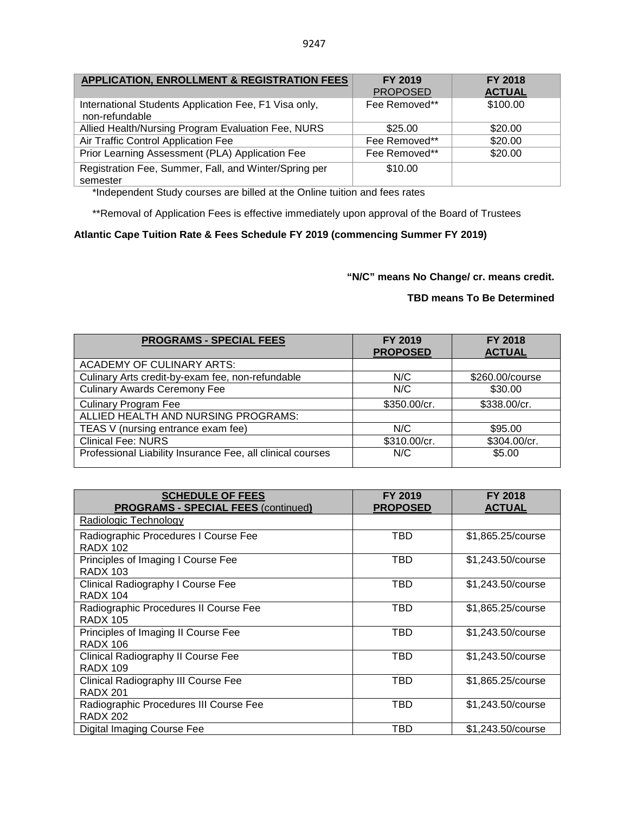| <b>APPLICATION, ENROLLMENT &amp; REGISTRATION FEES</b>                  | <b>FY 2019</b><br><b>PROPOSED</b> | <b>FY 2018</b><br><b>ACTUAL</b> |
|-------------------------------------------------------------------------|-----------------------------------|---------------------------------|
| International Students Application Fee, F1 Visa only,<br>non-refundable | Fee Removed**                     | \$100.00                        |
| Allied Health/Nursing Program Evaluation Fee, NURS                      | \$25.00                           | \$20.00                         |
| Air Traffic Control Application Fee                                     | Fee Removed**                     | \$20.00                         |
| Prior Learning Assessment (PLA) Application Fee                         | Fee Removed**                     | \$20.00                         |
| Registration Fee, Summer, Fall, and Winter/Spring per<br>semester       | \$10.00                           |                                 |

\*Independent Study courses are billed at the Online tuition and fees rates

\*\*Removal of Application Fees is effective immediately upon approval of the Board of Trustees

## **Atlantic Cape Tuition Rate & Fees Schedule FY 2019 (commencing Summer FY 2019)**

**"N/C" means No Change/ cr. means credit.** 

| <b>PROGRAMS - SPECIAL FEES</b>                             | FY 2019<br><b>PROPOSED</b> | <b>FY 2018</b><br><b>ACTUAL</b> |
|------------------------------------------------------------|----------------------------|---------------------------------|
| <b>ACADEMY OF CULINARY ARTS:</b>                           |                            |                                 |
| Culinary Arts credit-by-exam fee, non-refundable           | N/C                        | \$260.00/course                 |
| <b>Culinary Awards Ceremony Fee</b>                        | N/C                        | \$30.00                         |
| <b>Culinary Program Fee</b>                                | \$350.00/cr.               | \$338.00/cr.                    |
| ALLIED HEALTH AND NURSING PROGRAMS:                        |                            |                                 |
| TEAS V (nursing entrance exam fee)                         | N/C                        | \$95.00                         |
| <b>Clinical Fee: NURS</b>                                  | \$310.00/cr.               | \$304.00/cr.                    |
| Professional Liability Insurance Fee, all clinical courses | N/C                        | \$5.00                          |

| <b>SCHEDULE OF FEES</b><br><b>PROGRAMS - SPECIAL FEES (continued)</b> | <b>FY 2019</b><br><b>PROPOSED</b> | <b>FY 2018</b><br><b>ACTUAL</b> |
|-----------------------------------------------------------------------|-----------------------------------|---------------------------------|
| Radiologic Technology                                                 |                                   |                                 |
| Radiographic Procedures I Course Fee<br><b>RADX 102</b>               | TBD                               | \$1,865.25/course               |
| Principles of Imaging I Course Fee<br><b>RADX 103</b>                 | TBD                               | \$1,243.50/course               |
| Clinical Radiography I Course Fee<br><b>RADX 104</b>                  | TBD                               | \$1,243.50/course               |
| Radiographic Procedures II Course Fee<br><b>RADX 105</b>              | TBD                               | \$1,865.25/course               |
| Principles of Imaging II Course Fee<br><b>RADX 106</b>                | TBD                               | \$1,243.50/course               |
| <b>Clinical Radiography II Course Fee</b><br><b>RADX 109</b>          | TBD                               | \$1,243.50/course               |
| Clinical Radiography III Course Fee<br><b>RADX 201</b>                | <b>TBD</b>                        | \$1,865.25/course               |
| Radiographic Procedures III Course Fee<br><b>RADX 202</b>             | TBD                               | \$1,243.50/course               |
| Digital Imaging Course Fee                                            | TBD                               | \$1,243.50/course               |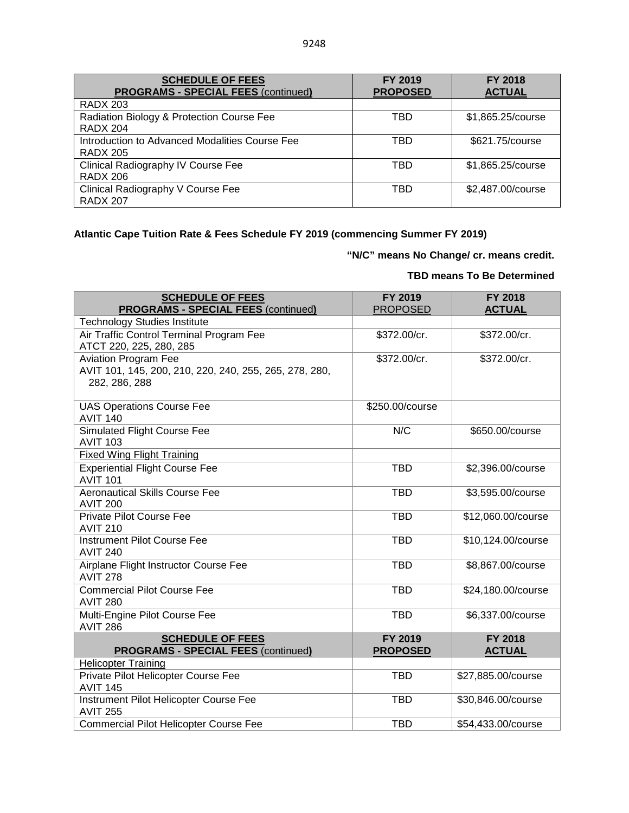| <b>SCHEDULE OF FEES</b><br><b>PROGRAMS - SPECIAL FEES (continued)</b> | FY 2019<br><b>PROPOSED</b> | <b>FY 2018</b><br><b>ACTUAL</b> |
|-----------------------------------------------------------------------|----------------------------|---------------------------------|
| <b>RADX 203</b>                                                       |                            |                                 |
| Radiation Biology & Protection Course Fee<br><b>RADX 204</b>          | TBD                        | \$1,865.25/course               |
| Introduction to Advanced Modalities Course Fee<br><b>RADX 205</b>     | TBD                        | \$621.75/course                 |
| Clinical Radiography IV Course Fee<br><b>RADX 206</b>                 | TBD                        | \$1,865.25/course               |
| Clinical Radiography V Course Fee<br><b>RADX 207</b>                  | <b>TBD</b>                 | \$2,487.00/course               |

# **Atlantic Cape Tuition Rate & Fees Schedule FY 2019 (commencing Summer FY 2019)**

# **"N/C" means No Change/ cr. means credit.**

| <b>SCHEDULE OF FEES</b><br><b>PROGRAMS - SPECIAL FEES (continued)</b>                                  | FY 2019<br><b>PROPOSED</b> | FY 2018<br><b>ACTUAL</b>        |
|--------------------------------------------------------------------------------------------------------|----------------------------|---------------------------------|
| <b>Technology Studies Institute</b>                                                                    |                            |                                 |
| Air Traffic Control Terminal Program Fee<br>ATCT 220, 225, 280, 285                                    | \$372.00/cr.               | \$372.00/cr.                    |
| <b>Aviation Program Fee</b><br>AVIT 101, 145, 200, 210, 220, 240, 255, 265, 278, 280,<br>282, 286, 288 | \$372.00/cr.               | \$372.00/cr.                    |
| <b>UAS Operations Course Fee</b><br><b>AVIT 140</b>                                                    | \$250.00/course            |                                 |
| <b>Simulated Flight Course Fee</b><br><b>AVIT 103</b>                                                  | N/C                        | \$650.00/course                 |
| <b>Fixed Wing Flight Training</b>                                                                      |                            |                                 |
| <b>Experiential Flight Course Fee</b><br><b>AVIT 101</b>                                               | <b>TBD</b>                 | \$2,396.00/course               |
| <b>Aeronautical Skills Course Fee</b><br><b>AVIT 200</b>                                               | <b>TBD</b>                 | \$3,595.00/course               |
| <b>Private Pilot Course Fee</b><br><b>AVIT 210</b>                                                     | <b>TBD</b>                 | \$12,060.00/course              |
| <b>Instrument Pilot Course Fee</b><br><b>AVIT 240</b>                                                  | <b>TBD</b>                 | \$10,124.00/course              |
| Airplane Flight Instructor Course Fee<br><b>AVIT 278</b>                                               | <b>TBD</b>                 | \$8,867.00/course               |
| <b>Commercial Pilot Course Fee</b><br><b>AVIT 280</b>                                                  | <b>TBD</b>                 | \$24,180.00/course              |
| Multi-Engine Pilot Course Fee<br><b>AVIT 286</b>                                                       | <b>TBD</b>                 | \$6,337.00/course               |
| <b>SCHEDULE OF FEES</b><br><b>PROGRAMS - SPECIAL FEES (continued)</b>                                  | FY 2019<br><b>PROPOSED</b> | <b>FY 2018</b><br><b>ACTUAL</b> |
| <b>Helicopter Training</b>                                                                             |                            |                                 |
| Private Pilot Helicopter Course Fee<br><b>AVIT 145</b>                                                 | <b>TBD</b>                 | \$27,885.00/course              |
| Instrument Pilot Helicopter Course Fee<br><b>AVIT 255</b>                                              | <b>TBD</b>                 | \$30,846.00/course              |
| <b>Commercial Pilot Helicopter Course Fee</b>                                                          | <b>TBD</b>                 | \$54,433.00/course              |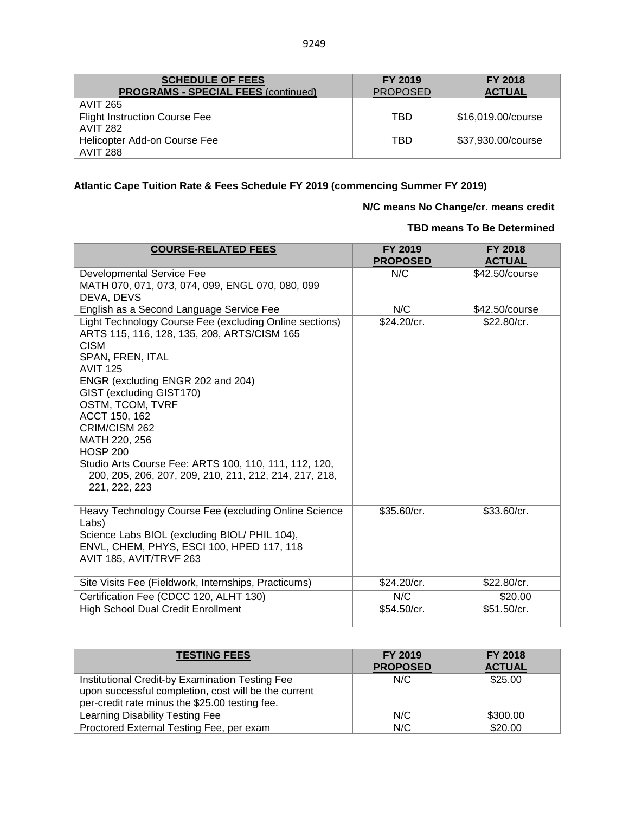| <b>SCHEDULE OF FEES</b><br><b>PROGRAMS - SPECIAL FEES (continued)</b> | FY 2019<br><b>PROPOSED</b> | <b>FY 2018</b><br><b>ACTUAL</b> |
|-----------------------------------------------------------------------|----------------------------|---------------------------------|
| <b>AVIT 265</b>                                                       |                            |                                 |
| <b>Flight Instruction Course Fee</b>                                  | TBD                        | \$16,019.00/course              |
| <b>AVIT 282</b>                                                       |                            |                                 |
| Helicopter Add-on Course Fee                                          | TBD                        | \$37,930.00/course              |
| <b>AVIT 288</b>                                                       |                            |                                 |

# **Atlantic Cape Tuition Rate & Fees Schedule FY 2019 (commencing Summer FY 2019)**

# **N/C means No Change/cr. means credit**

| <b>COURSE-RELATED FEES</b>                                                                                                                                                                                                                                                                                                                                                                                                                                  | FY 2019<br><b>PROPOSED</b> | FY 2018<br><b>ACTUAL</b> |
|-------------------------------------------------------------------------------------------------------------------------------------------------------------------------------------------------------------------------------------------------------------------------------------------------------------------------------------------------------------------------------------------------------------------------------------------------------------|----------------------------|--------------------------|
| <b>Developmental Service Fee</b><br>MATH 070, 071, 073, 074, 099, ENGL 070, 080, 099<br>DEVA, DEVS                                                                                                                                                                                                                                                                                                                                                          | N/C                        | \$42.50/course           |
| English as a Second Language Service Fee                                                                                                                                                                                                                                                                                                                                                                                                                    | N/C                        | \$42.50/course           |
| Light Technology Course Fee (excluding Online sections)<br>ARTS 115, 116, 128, 135, 208, ARTS/CISM 165<br><b>CISM</b><br>SPAN, FREN, ITAL<br><b>AVIT 125</b><br>ENGR (excluding ENGR 202 and 204)<br>GIST (excluding GIST170)<br>OSTM, TCOM, TVRF<br>ACCT 150, 162<br>CRIM/CISM 262<br>MATH 220, 256<br><b>HOSP 200</b><br>Studio Arts Course Fee: ARTS 100, 110, 111, 112, 120,<br>200, 205, 206, 207, 209, 210, 211, 212, 214, 217, 218,<br>221, 222, 223 | \$24.20/cr.                | \$22.80/cr.              |
| Heavy Technology Course Fee (excluding Online Science<br>Labs)<br>Science Labs BIOL (excluding BIOL/ PHIL 104),<br>ENVL, CHEM, PHYS, ESCI 100, HPED 117, 118<br>AVIT 185, AVIT/TRVF 263                                                                                                                                                                                                                                                                     | \$35.60/cr.                | \$33.60/cr.              |
| Site Visits Fee (Fieldwork, Internships, Practicums)                                                                                                                                                                                                                                                                                                                                                                                                        | \$24.20/cr.                | \$22.80/cr.              |
| Certification Fee (CDCC 120, ALHT 130)                                                                                                                                                                                                                                                                                                                                                                                                                      | N/C                        | \$20.00                  |
| <b>High School Dual Credit Enrollment</b>                                                                                                                                                                                                                                                                                                                                                                                                                   | \$54.50/cr.                | \$51.50/cr.              |

| <b>TESTING FEES</b>                                                                                                                                       | FY 2019<br><b>PROPOSED</b> | <b>FY 2018</b><br><b>ACTUAL</b> |
|-----------------------------------------------------------------------------------------------------------------------------------------------------------|----------------------------|---------------------------------|
| Institutional Credit-by Examination Testing Fee<br>upon successful completion, cost will be the current<br>per-credit rate minus the \$25.00 testing fee. | N/C                        | \$25.00                         |
| Learning Disability Testing Fee                                                                                                                           | N/C                        | \$300.00                        |
| Proctored External Testing Fee, per exam                                                                                                                  | N/C                        | \$20.00                         |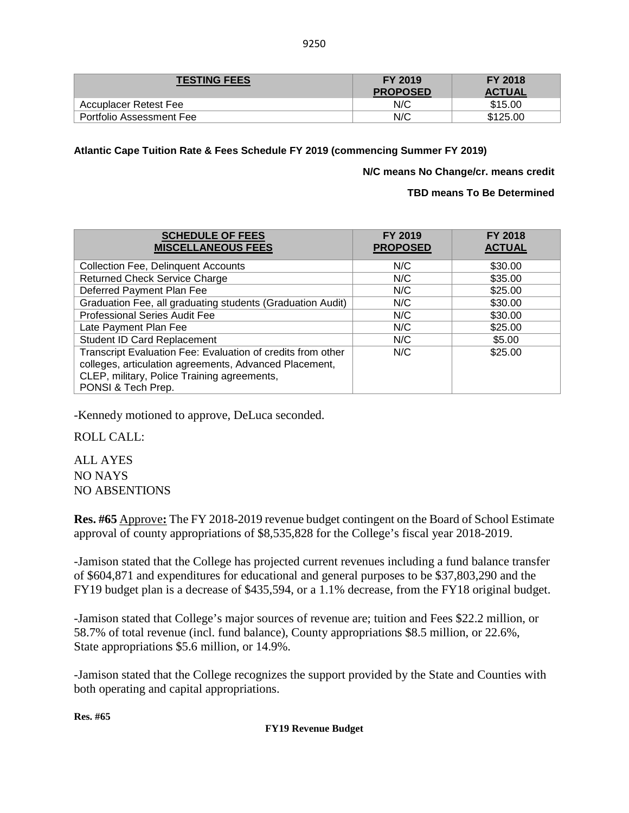| <b>TESTING FEES</b>      | <b>FY 2019</b><br><b>PROPOSED</b> | <b>FY 2018</b><br><b>ACTUAL</b> |
|--------------------------|-----------------------------------|---------------------------------|
| Accuplacer Retest Fee    | N/C                               | \$15.00                         |
| Portfolio Assessment Fee | N/C                               | \$125.00                        |

**Atlantic Cape Tuition Rate & Fees Schedule FY 2019 (commencing Summer FY 2019)**

**N/C means No Change/cr. means credit**

**TBD means To Be Determined**

| <b>SCHEDULE OF FEES</b><br><b>MISCELLANEOUS FEES</b>        | <b>FY 2019</b><br><b>PROPOSED</b> | <b>FY 2018</b><br><b>ACTUAL</b> |
|-------------------------------------------------------------|-----------------------------------|---------------------------------|
| <b>Collection Fee, Delinquent Accounts</b>                  | N/C                               | \$30.00                         |
| <b>Returned Check Service Charge</b>                        | N/C                               | \$35.00                         |
| Deferred Payment Plan Fee                                   | N/C                               | \$25.00                         |
| Graduation Fee, all graduating students (Graduation Audit)  | N/C                               | \$30.00                         |
| <b>Professional Series Audit Fee</b>                        | N/C                               | \$30.00                         |
| Late Payment Plan Fee                                       | N/C                               | \$25.00                         |
| Student ID Card Replacement                                 | N/C                               | \$5.00                          |
| Transcript Evaluation Fee: Evaluation of credits from other | N/C                               | \$25.00                         |
| colleges, articulation agreements, Advanced Placement,      |                                   |                                 |
| CLEP, military, Police Training agreements,                 |                                   |                                 |
| PONSI & Tech Prep.                                          |                                   |                                 |

-Kennedy motioned to approve, DeLuca seconded.

ROLL CALL:

ALL AYES NO NAYS NO ABSENTIONS

**Res. #65** Approve**:** The FY 2018-2019 revenue budget contingent on the Board of School Estimate approval of county appropriations of \$8,535,828 for the College's fiscal year 2018-2019.

-Jamison stated that the College has projected current revenues including a fund balance transfer of \$604,871 and expenditures for educational and general purposes to be \$37,803,290 and the FY19 budget plan is a decrease of \$435,594, or a 1.1% decrease, from the FY18 original budget.

-Jamison stated that College's major sources of revenue are; tuition and Fees \$22.2 million, or 58.7% of total revenue (incl. fund balance), County appropriations \$8.5 million, or 22.6%, State appropriations \$5.6 million, or 14.9%.

-Jamison stated that the College recognizes the support provided by the State and Counties with both operating and capital appropriations.

**Res. #65**

## **FY19 Revenue Budget**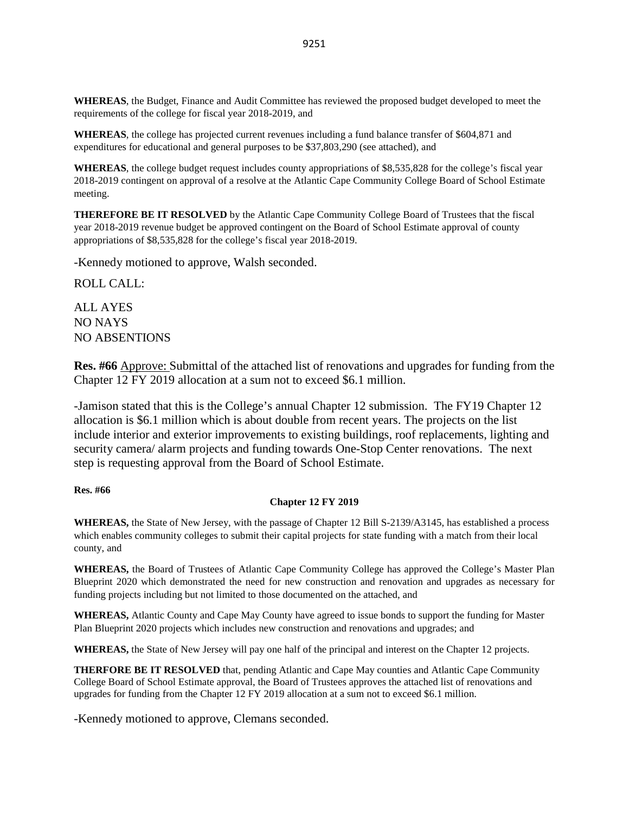**WHEREAS**, the Budget, Finance and Audit Committee has reviewed the proposed budget developed to meet the requirements of the college for fiscal year 2018-2019, and

**WHEREAS**, the college has projected current revenues including a fund balance transfer of \$604,871 and expenditures for educational and general purposes to be \$37,803,290 (see attached), and

**WHEREAS**, the college budget request includes county appropriations of \$8,535,828 for the college's fiscal year 2018-2019 contingent on approval of a resolve at the Atlantic Cape Community College Board of School Estimate meeting.

**THEREFORE BE IT RESOLVED** by the Atlantic Cape Community College Board of Trustees that the fiscal year 2018-2019 revenue budget be approved contingent on the Board of School Estimate approval of county appropriations of \$8,535,828 for the college's fiscal year 2018-2019.

-Kennedy motioned to approve, Walsh seconded.

ROLL CALL:

ALL AYES NO NAYS NO ABSENTIONS

**Res. #66** Approve: Submittal of the attached list of renovations and upgrades for funding from the Chapter 12 FY 2019 allocation at a sum not to exceed \$6.1 million.

-Jamison stated that this is the College's annual Chapter 12 submission. The FY19 Chapter 12 allocation is \$6.1 million which is about double from recent years. The projects on the list include interior and exterior improvements to existing buildings, roof replacements, lighting and security camera/ alarm projects and funding towards One-Stop Center renovations. The next step is requesting approval from the Board of School Estimate.

## **Res. #66**

#### **Chapter 12 FY 2019**

**WHEREAS,** the State of New Jersey, with the passage of Chapter 12 Bill S-2139/A3145, has established a process which enables community colleges to submit their capital projects for state funding with a match from their local county, and

**WHEREAS,** the Board of Trustees of Atlantic Cape Community College has approved the College's Master Plan Blueprint 2020 which demonstrated the need for new construction and renovation and upgrades as necessary for funding projects including but not limited to those documented on the attached, and

**WHEREAS,** Atlantic County and Cape May County have agreed to issue bonds to support the funding for Master Plan Blueprint 2020 projects which includes new construction and renovations and upgrades; and

**WHEREAS,** the State of New Jersey will pay one half of the principal and interest on the Chapter 12 projects.

**THERFORE BE IT RESOLVED** that, pending Atlantic and Cape May counties and Atlantic Cape Community College Board of School Estimate approval, the Board of Trustees approves the attached list of renovations and upgrades for funding from the Chapter 12 FY 2019 allocation at a sum not to exceed \$6.1 million.

-Kennedy motioned to approve, Clemans seconded.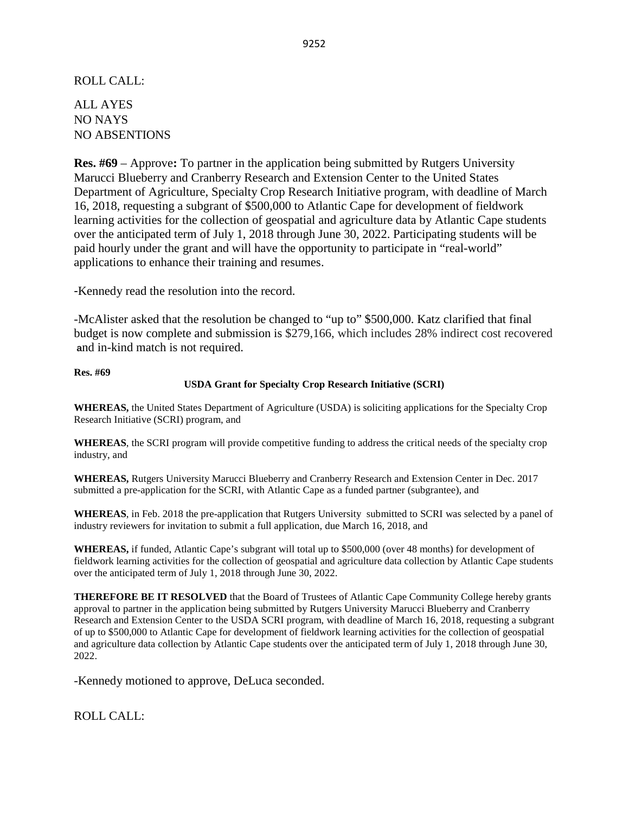## ROLL CALL:

ALL AYES NO NAYS NO ABSENTIONS

**Res. #69** – Approve**:** To partner in the application being submitted by Rutgers University Marucci Blueberry and Cranberry Research and Extension Center to the United States Department of Agriculture, Specialty Crop Research Initiative program, with deadline of March 16, 2018, requesting a subgrant of \$500,000 to Atlantic Cape for development of fieldwork learning activities for the collection of geospatial and agriculture data by Atlantic Cape students over the anticipated term of July 1, 2018 through June 30, 2022. Participating students will be paid hourly under the grant and will have the opportunity to participate in "real-world" applications to enhance their training and resumes.

-Kennedy read the resolution into the record.

-McAlister asked that the resolution be changed to "up to" \$500,000. Katz clarified that final budget is now complete and submission is \$279,166, which includes 28% indirect cost recovered **a**nd in-kind match is not required.

### **Res. #69**

## **USDA Grant for Specialty Crop Research Initiative (SCRI)**

**WHEREAS,** the United States Department of Agriculture (USDA) is soliciting applications for the Specialty Crop Research Initiative (SCRI) program, and

**WHEREAS**, the SCRI program will provide competitive funding to address the critical needs of the specialty crop industry, and

**WHEREAS,** Rutgers University Marucci Blueberry and Cranberry Research and Extension Center in Dec. 2017 submitted a pre-application for the SCRI, with Atlantic Cape as a funded partner (subgrantee), and

**WHEREAS**, in Feb. 2018 the pre-application that Rutgers University submitted to SCRI was selected by a panel of industry reviewers for invitation to submit a full application, due March 16, 2018, and

**WHEREAS,** if funded, Atlantic Cape's subgrant will total up to \$500,000 (over 48 months) for development of fieldwork learning activities for the collection of geospatial and agriculture data collection by Atlantic Cape students over the anticipated term of July 1, 2018 through June 30, 2022.

**THEREFORE BE IT RESOLVED** that the Board of Trustees of Atlantic Cape Community College hereby grants approval to partner in the application being submitted by Rutgers University Marucci Blueberry and Cranberry Research and Extension Center to the USDA SCRI program, with deadline of March 16, 2018, requesting a subgrant of up to \$500,000 to Atlantic Cape for development of fieldwork learning activities for the collection of geospatial and agriculture data collection by Atlantic Cape students over the anticipated term of July 1, 2018 through June 30, 2022.

-Kennedy motioned to approve, DeLuca seconded.

ROLL CALL: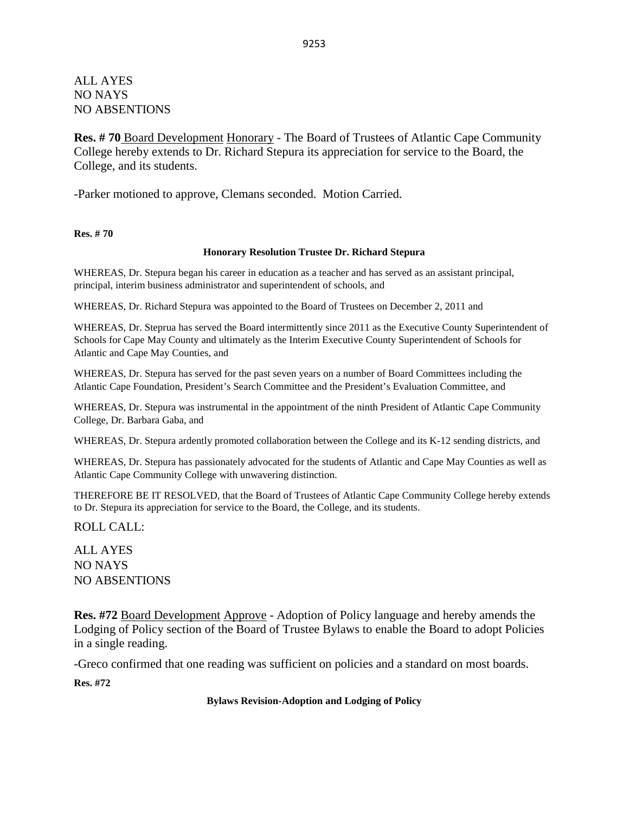## ALL AYES NO NAYS NO ABSENTIONS

**Res. # 70** Board Development Honorary - The Board of Trustees of Atlantic Cape Community College hereby extends to Dr. Richard Stepura its appreciation for service to the Board, the College, and its students.

-Parker motioned to approve, Clemans seconded. Motion Carried.

**Res. # 70**

## **Honorary Resolution Trustee Dr. Richard Stepura**

WHEREAS, Dr. Stepura began his career in education as a teacher and has served as an assistant principal, principal, interim business administrator and superintendent of schools, and

WHEREAS, Dr. Richard Stepura was appointed to the Board of Trustees on December 2, 2011 and

WHEREAS, Dr. Steprua has served the Board intermittently since 2011 as the Executive County Superintendent of Schools for Cape May County and ultimately as the Interim Executive County Superintendent of Schools for Atlantic and Cape May Counties, and

WHEREAS, Dr. Stepura has served for the past seven years on a number of Board Committees including the Atlantic Cape Foundation, President's Search Committee and the President's Evaluation Committee, and

WHEREAS, Dr. Stepura was instrumental in the appointment of the ninth President of Atlantic Cape Community College, Dr. Barbara Gaba, and

WHEREAS, Dr. Stepura ardently promoted collaboration between the College and its K-12 sending districts, and

WHEREAS, Dr. Stepura has passionately advocated for the students of Atlantic and Cape May Counties as well as Atlantic Cape Community College with unwavering distinction.

THEREFORE BE IT RESOLVED, that the Board of Trustees of Atlantic Cape Community College hereby extends to Dr. Stepura its appreciation for service to the Board, the College, and its students.

ROLL CALL:

ALL AYES NO NAYS NO ABSENTIONS

**Res. #72** Board Development Approve - Adoption of Policy language and hereby amends the Lodging of Policy section of the Board of Trustee Bylaws to enable the Board to adopt Policies in a single reading.

-Greco confirmed that one reading was sufficient on policies and a standard on most boards.

**Res. #72**

**Bylaws Revision-Adoption and Lodging of Policy**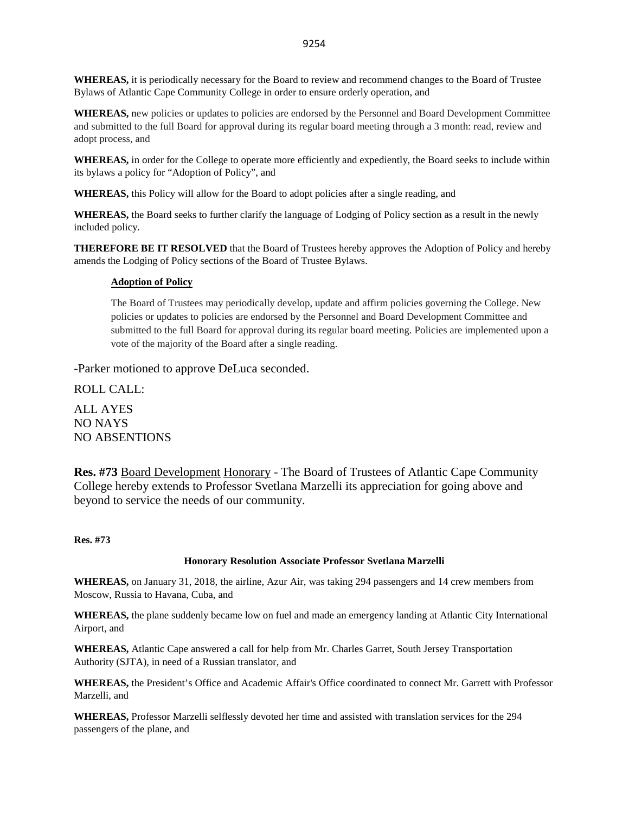**WHEREAS,** it is periodically necessary for the Board to review and recommend changes to the Board of Trustee Bylaws of Atlantic Cape Community College in order to ensure orderly operation, and

**WHEREAS,** new policies or updates to policies are endorsed by the Personnel and Board Development Committee and submitted to the full Board for approval during its regular board meeting through a 3 month: read, review and adopt process, and

**WHEREAS,** in order for the College to operate more efficiently and expediently, the Board seeks to include within its bylaws a policy for "Adoption of Policy", and

**WHEREAS,** this Policy will allow for the Board to adopt policies after a single reading, and

**WHEREAS,** the Board seeks to further clarify the language of Lodging of Policy section as a result in the newly included policy.

**THEREFORE BE IT RESOLVED** that the Board of Trustees hereby approves the Adoption of Policy and hereby amends the Lodging of Policy sections of the Board of Trustee Bylaws.

## **Adoption of Policy**

The Board of Trustees may periodically develop, update and affirm policies governing the College. New policies or updates to policies are endorsed by the Personnel and Board Development Committee and submitted to the full Board for approval during its regular board meeting. Policies are implemented upon a vote of the majority of the Board after a single reading.

-Parker motioned to approve DeLuca seconded.

ROLL CALL:

ALL AYES NO NAYS NO ABSENTIONS

**Res. #73** Board Development Honorary - The Board of Trustees of Atlantic Cape Community College hereby extends to Professor Svetlana Marzelli its appreciation for going above and beyond to service the needs of our community.

**Res. #73**

## **Honorary Resolution Associate Professor Svetlana Marzelli**

**WHEREAS,** on January 31, 2018, the airline, Azur Air, was taking 294 passengers and 14 crew members from Moscow, Russia to Havana, Cuba, and

**WHEREAS,** the plane suddenly became low on fuel and made an emergency landing at Atlantic City International Airport, and

**WHEREAS,** Atlantic Cape answered a call for help from Mr. Charles Garret, South Jersey Transportation Authority (SJTA), in need of a Russian translator, and

**WHEREAS,** the President's Office and Academic Affair's Office coordinated to connect Mr. Garrett with Professor Marzelli, and

**WHEREAS,** Professor Marzelli selflessly devoted her time and assisted with translation services for the 294 passengers of the plane, and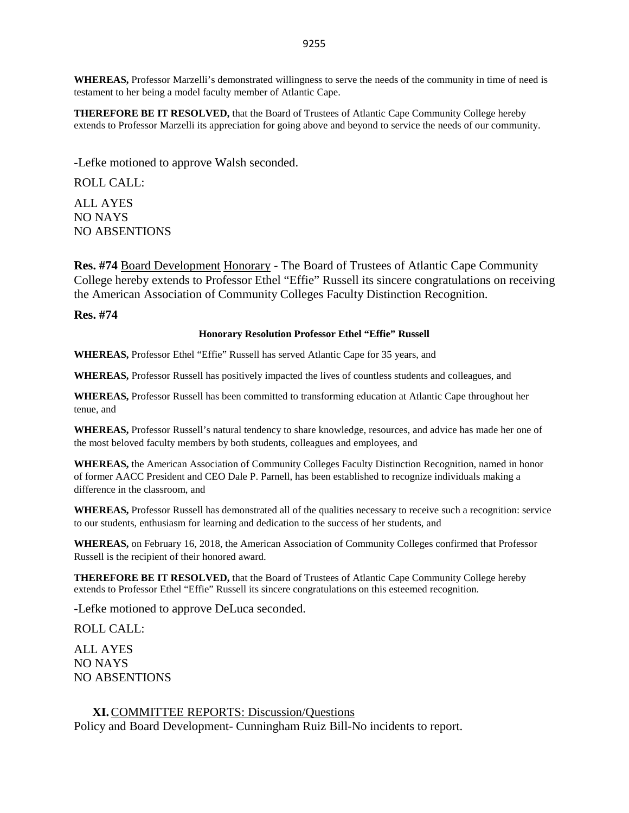**WHEREAS,** Professor Marzelli's demonstrated willingness to serve the needs of the community in time of need is testament to her being a model faculty member of Atlantic Cape.

**THEREFORE BE IT RESOLVED,** that the Board of Trustees of Atlantic Cape Community College hereby extends to Professor Marzelli its appreciation for going above and beyond to service the needs of our community.

-Lefke motioned to approve Walsh seconded.

ROLL CALL:

ALL AYES NO NAYS NO ABSENTIONS

**Res. #74** Board Development Honorary - The Board of Trustees of Atlantic Cape Community College hereby extends to Professor Ethel "Effie" Russell its sincere congratulations on receiving the American Association of Community Colleges Faculty Distinction Recognition.

**Res. #74**

#### **Honorary Resolution Professor Ethel "Effie" Russell**

**WHEREAS,** Professor Ethel "Effie" Russell has served Atlantic Cape for 35 years, and

**WHEREAS,** Professor Russell has positively impacted the lives of countless students and colleagues, and

**WHEREAS,** Professor Russell has been committed to transforming education at Atlantic Cape throughout her tenue, and

**WHEREAS,** Professor Russell's natural tendency to share knowledge, resources, and advice has made her one of the most beloved faculty members by both students, colleagues and employees, and

**WHEREAS,** the American Association of Community Colleges Faculty Distinction Recognition, named in honor of former AACC President and CEO Dale P. Parnell, has been established to recognize individuals making a difference in the classroom, and

**WHEREAS,** Professor Russell has demonstrated all of the qualities necessary to receive such a recognition: service to our students, enthusiasm for learning and dedication to the success of her students, and

**WHEREAS,** on February 16, 2018, the American Association of Community Colleges confirmed that Professor Russell is the recipient of their honored award.

**THEREFORE BE IT RESOLVED,** that the Board of Trustees of Atlantic Cape Community College hereby extends to Professor Ethel "Effie" Russell its sincere congratulations on this esteemed recognition.

-Lefke motioned to approve DeLuca seconded.

ROLL CALL:

ALL AYES NO NAYS NO ABSENTIONS

## **XI.**COMMITTEE REPORTS: Discussion/Questions

Policy and Board Development- Cunningham Ruiz Bill-No incidents to report.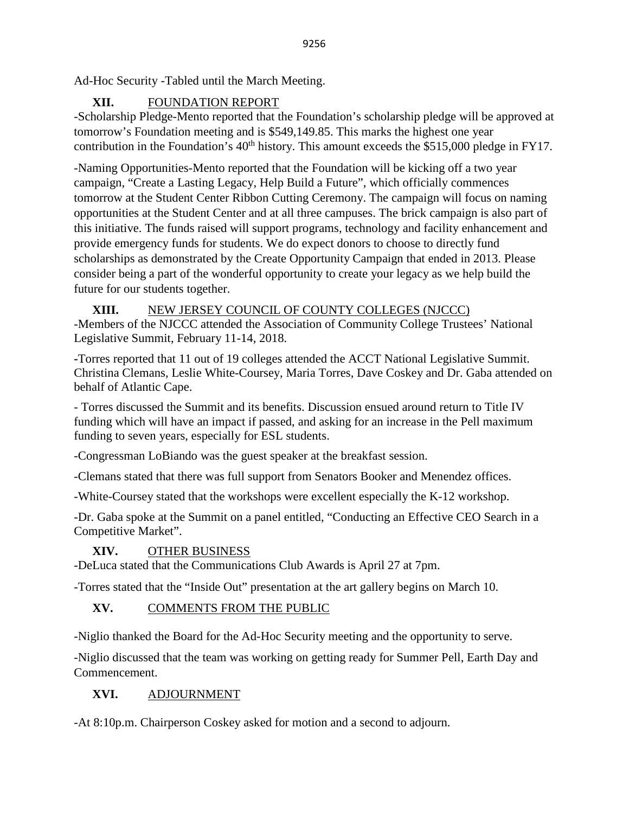Ad-Hoc Security -Tabled until the March Meeting.

# **XII.** FOUNDATION REPORT

-Scholarship Pledge-Mento reported that the Foundation's scholarship pledge will be approved at tomorrow's Foundation meeting and is \$549,149.85. This marks the highest one year contribution in the Foundation's 40<sup>th</sup> history. This amount exceeds the \$515,000 pledge in FY17.

-Naming Opportunities-Mento reported that the Foundation will be kicking off a two year campaign, "Create a Lasting Legacy, Help Build a Future", which officially commences tomorrow at the Student Center Ribbon Cutting Ceremony. The campaign will focus on naming opportunities at the Student Center and at all three campuses. The brick campaign is also part of this initiative. The funds raised will support programs, technology and facility enhancement and provide emergency funds for students. We do expect donors to choose to directly fund scholarships as demonstrated by the Create Opportunity Campaign that ended in 2013. Please consider being a part of the wonderful opportunity to create your legacy as we help build the future for our students together.

# **XIII.** NEW JERSEY COUNCIL OF COUNTY COLLEGES (NJCCC)

-Members of the NJCCC attended the Association of Community College Trustees' National Legislative Summit, February 11-14, 2018.

**-**Torres reported that 11 out of 19 colleges attended the ACCT National Legislative Summit. Christina Clemans, Leslie White-Coursey, Maria Torres, Dave Coskey and Dr. Gaba attended on behalf of Atlantic Cape.

- Torres discussed the Summit and its benefits. Discussion ensued around return to Title IV funding which will have an impact if passed, and asking for an increase in the Pell maximum funding to seven years, especially for ESL students.

-Congressman LoBiando was the guest speaker at the breakfast session.

-Clemans stated that there was full support from Senators Booker and Menendez offices.

-White-Coursey stated that the workshops were excellent especially the K-12 workshop.

-Dr. Gaba spoke at the Summit on a panel entitled, "Conducting an Effective CEO Search in a Competitive Market".

# **XIV.** OTHER BUSINESS

-DeLuca stated that the Communications Club Awards is April 27 at 7pm.

-Torres stated that the "Inside Out" presentation at the art gallery begins on March 10.

# **XV.** COMMENTS FROM THE PUBLIC

-Niglio thanked the Board for the Ad-Hoc Security meeting and the opportunity to serve.

-Niglio discussed that the team was working on getting ready for Summer Pell, Earth Day and Commencement.

# **XVI.** ADJOURNMENT

-At 8:10p.m. Chairperson Coskey asked for motion and a second to adjourn.